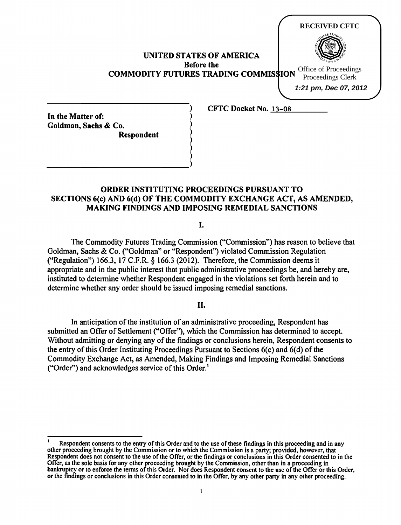| <b>UNITED STATES OF AMERICA</b><br><b>Before the</b><br><b>COMMODITY FUTURES TRADING COMMISSION</b> | <b>RECEIVED CFTC</b><br>Office of Proceedings<br>Proceedings Clerk<br>1:21 pm, Dec 07, 2012 |
|-----------------------------------------------------------------------------------------------------|---------------------------------------------------------------------------------------------|
| <b>CFTC Docket No. 13-08</b>                                                                        |                                                                                             |

In the Matter of: Goldman, Sachs & Co. ) Respondent

)  $\longrightarrow$ 

# ORDER INSTITUTING PROCEEDINGS PURSUANT TO SECTIONS 6(c) AND 6(d) OF THE COMMODITY EXCHANGE ACT, AS AMENDED, MAKING FINDINGS AND IMPOSING REMEDIAL SANCTIONS

) ) )

)

I.

The Commodity Futures Trading Commission ("Commission") has reason to believe that Goldman, Sachs & Co. ("Goldman" or "Respondent'') violated Commission Regulation ("Regulation") 166.3, 17 C.F.R. *§* 166.3 (2012). Therefore, the Commission deems it appropriate and in the public interest that public administrative proceedings be, and hereby are, instituted to determine whether Respondent engaged in the violations set forth herein and to determine whether any order should be issued imposing remedial sanctions.

## II.

In anticipation of the institution of an administrative proceeding, Respondent has submitted an Offer of Settlement ("Offer"), which the Commission has determined to accept. Without admitting or denying any of the findings or conclusions herein, Respondent consents to the entry of this Order Instituting Proceedings Pursuant to Sections 6(c) and 6(d) of the Commodity Exchange Act, as Amended, Making Findings and Imposing Remedial Sanctions ("Order") and acknowledges service of this Order.'

Respondent consents to the entry of this Order and to the use of these findings in this proceeding and in any other proceeding brought by the Commission or to which the Commission is a party; provided, however, that Respondent does not consent to the use of the Offer, or the findings or conclusions in this Order consented to in the Offer, as the sole basis for any other proceeding brought by the Commission, other than in a proceeding in bankruptcy or to enforce the terms of this Order. Nor does Respondent consent to the use of the Offer or this Order, or the findings or conclusions in this Order consented to in the Offer, by any other party in any other proceeding.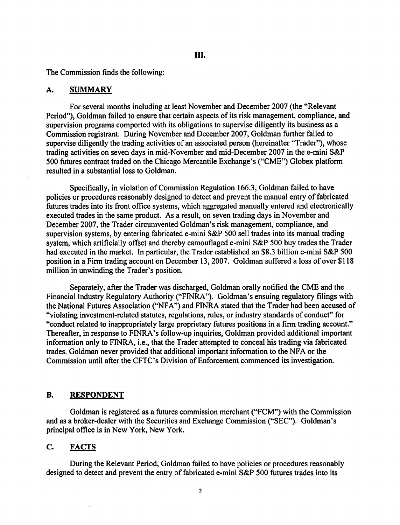### III.

The Commission finds the following:

#### A. SUMMARY

For several months including at least November and December 2007 (the "Relevant Period"), Goldman failed to ensure that certain aspects of its risk management, compliance, and supervision programs comported with its obligations to supervise diligently its business as a Commission registrant. During November and December 2007, Goldman further failed to supervise diligently the trading activities of an associated person (hereinafter "Trader"), whose trading activities on seven days in mid-November and mid-December 2007 in the e-mini S&P 500 futures contract traded on the Chicago Mercantile Exchange's ("CME") Globex platfonn resulted in a substantial loss to Goldman.

Specifically, in violation of Commission Regulation 166.3, Goldman failed to have policies or procedures reasonably designed to detect and prevent the manual entry of fabricated futures trades into its front office systems, which aggregated manually entered and electronically executed trades in the same product. As a result, on seven trading days in November and December 2007, the Trader circumvented Goldman's risk management, compliance, and supervision systems, by entering fabricated e-mini S&P 500 sell trades into its manual trading system, which artificially offset and thereby camouflaged e-mini S&P 500 buy trades the Trader had executed in the market. In particular, the Trader established an \$8.3 billion e-mini S&P 500 position in a Firm trading account on December 13, 2007. Goldman suffered a loss of over \$118 million in unwinding the Trader's position.

Separately, after the Trader was discharged, Goldman orally notified the CME and the Financial Industry Regulatory Authority ("FINRA"). Goldman's ensuing regulatory filings with the National Futures Association ("NFA") and FINRA stated that the Trader had been accused of "violating investment-related statutes, regulations, rules, or industry standards of conduct" for "conduct related to inappropriately large proprietary futures positions in a finn trading account." Thereafter, in response to FINRA's follow-up inquiries, Goldman provided additional important infonnation only to FINRA, i.e., that the Trader attempted to conceal his trading via fabricated trades. Goldman never provided that additional important information to the NFA or the Commission until after the CFTC's Division of Enforcement commenced its investigation.

## B. RESPONDENT

Goldman is registered as a futures commission merchant ("FCM") with the Commission and as a broker-dealer with the Securities and Exchange Commission ("SEC"). Goldman's principal office is in New York, New York.

## C. FACTS

During the Relevant Period, Goldman failed to have policies or procedures reasonably designed to detect and prevent the entry of fabricated e-mini S&P 500 futures trades into its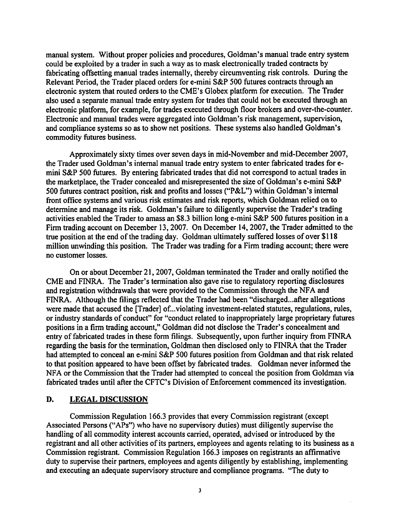manual system. Without proper policies and procedures, Goldman's manual trade entry system could be exploited by a trader in such a way as to mask electronically traded contracts by fabricating offsetting manual trades internally, thereby circumventing risk controls. During the Relevant Period, the Trader placed orders for e-mini S&P 500 futures contracts through an electronic system that routed orders to the CME's Globex platform for execution. The Trader also used a separate manual trade entry system for trades that could not be executed through an electronic platform, for example, for trades executed through floor brokers and over-the-counter. Electronic and manual trades were aggregated into Goldman's risk management, supervision, and compliance systems so as to show net positions. These systems also handled Goldman's commodity futures business.

Approximately sixty times over seven days in mid-November and mid-December 2007, the Trader used Goldman's internal manual trade entry system to enter fabricated trades foremini S&P 500 futures. By entering fabricated trades that did not correspond to actual trades in the marketplace, the Trader concealed and misrepresented the size of Goldman's e-mini S&P 500 futures contract position, risk and profits and losses ("P&L") within Goldman's internal front office systems and various risk estimates and risk reports, which Goldman relied on to determine and manage its risk. Goldman's failure to diligently supervise the Trader's trading activities enabled the Trader to amass an \$8.3 billion long e-mini S&P 500 futures position in a Firm trading account on December 13, 2007. On December 14, 2007, the Trader admitted to the true position at the end of the trading day. Goldman ultimately suffered losses of over \$118 million unwinding this position. The Trader was trading for a Firm trading account; there were no customer losses.

On or about December 21,2007, Goldman terminated the Trader and orally notified the CME and FINRA. The Trader's termination also gave rise to regulatory reporting disclosures and registration withdrawals that were provided to the Commission through the NFA and FINRA. Although the filings reflected that the Trader had been "discharged...after allegations were made that accused the [Trader] of... violating investment-related statutes, regulations, rules, or industry standards of conduct" for "conduct related to inappropriately large proprietary futures positions in a firm trading account," Goldman did not disclose the Trader's concealment and entry of fabricated trades in these form filings. Subsequently, upon further inquiry from FINRA regarding the basis for the termination, Goldman then disclosed only to FINRA that the Trader had attempted to conceal an e-mini S&P 500 futures position from Goldman and that risk related to that position appeared to have been offset by fabricated trades. Goldman never informed the NFA or the Commission that the Trader had attempted to conceal the position from Goldman via fabricated trades until after the CFTC's Division of Enforcement commenced its investigation.

## D. LEGAL DISCUSSION

Commission Regulation 166.3 provides that every Commission registrant (except Associated Persons ("APs") who have no supervisory duties) must diligently supervise the handling of all commodity interest accounts carried, operated, advised or introduced by the registrant and all other activities of its partners, employees and agents relating to its business as a Commission registrant. Commission Regulation 166.3 imposes on registrants an affirmative duty to supervise their partners, employees and agents diligently by establishing, implementing and executing an adequate supervisory structure and compliance programs. "The duty to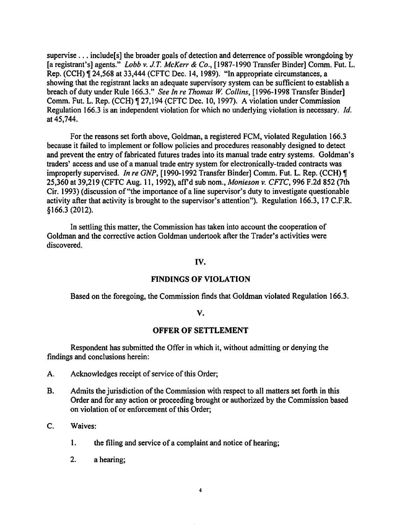supervise . . . include [s] the broader goals of detection and deterrence of possible wrongdoing by [a registrant's] agents." *Lobb v.* J. T. *McKerr* & *Co.,* [1987-1990 Transfer Binder] Comm. Fut. L. Rep. (CCH), 24,568 at 33,444 (CFTC Dec. 14, 1989). "In appropriate circumstances, a showing that the registrant lacks an adequate supervisory system can be sufficient to establish a breach of duty under Rule 166.3." *See In re Thomas W: Collins,* [1996-1998 Transfer Binder] Comm. Fut. L. Rep. (CCH) ¶ 27,194 (CFTC Dec. 10, 1997). A violation under Commission Regulation 166.3 is an independent violation for which no underlying violation is necessary. */d.*  at 45,744.

For the reasons set forth above, Goldman, a registered FCM, violated Regulation 166.3 because it failed to implement or follow policies and procedures reasonably designed to detect and prevent the entry of fabricated futures trades into its manual trade entry systems. Goldman's traders' access and use of a manual trade entry system for electronically-traded contracts was improperly supervised. *In re GNP*, [1990-1992 Transfer Binder] Comm. Fut. L. Rep. (CCH) ¶ 25,360 at 39,219 (CFTC Aug. 11, 1992), afrd sub nom., *Monieson v. CFTC,* 996 F.2d 852 (7th Cir. 1993) (discussion of"the importance of a line supervisor's duty to investigate questionable activity after that activity is brought to the supervisor's attention"). Regulation 166.3, 17 C.F.R. §166.3 (2012).

In settling this matter, the Commission has taken into account the cooperation of Goldman and the corrective action Goldman undertook after the Trader's activities were discovered.

#### IV.

### FINDINGS OF VIOLATION

Based on the foregoing, the Commission finds that Goldman violated Regulation 166.3.

### v.

### OFFER OF SETTLEMENT

Respondent has submitted the Offer in which it, without admitting or denying the findings and conclusions herein:

- A. Acknowledges receipt of service of this Order;
- B. Admits the jurisdiction of the Commission with respect to all matters set forth in this Order and for any action or proceeding brought or authorized by the Commission based on violation of or enforcement of this Order;
- C. Waives:
	- 1. the filing and service of a complaint and notice of hearing;
	- 2. a hearing;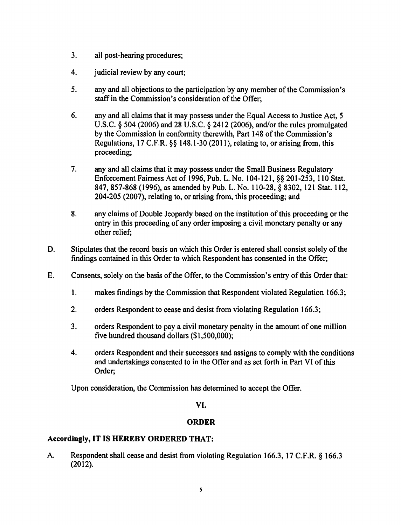- 3. all post-hearing procedures;
- 4. judicial review by any court;
- *5.* any and all objections to the participation by any member of the Commission's staff in the Commission's consideration of the Offer;
- 6. any and all claims that it may possess under the Equal Access to Justice Act, *5*  U.S.C. § 504 (2006) and 28 U.S.C. § 2412 (2006), and/or the rules promulgated by the Commission in conformity therewith, Part 148 of the Commission's Regulations, 17 C.F.R. §§ 148.1-30 (2011), relating to, or arising from, this proceeding;
- 7. any and all claims that it may possess under the Small Business Regulatory Enforcement Fairness Act of 1996, Pub. L. No. 104-121, §§ 201-253, 110 Stat. 847,857-868 (1996), as amended by Pub. L. No. 110-28, § 8302, 121 Stat. 112, 204-205 (2007), relating to, or arising from, this proceeding; and
- 8. any claims of Double Jeopardy based on the institution of this proceeding or the entry in this proceeding of any order imposing a civil monetary penalty or any other relief;
- D. Stipulates that the record basis on which this Order is entered shall consist solely of the findings contained in this Order to which Respondent has consented in the Offer;
- E. Consents, solely on the basis of the Offer, to the Commission's entry of this Order that:
	- 1. makes findings by the Commission that Respondent violated Regulation 166.3;
	- 2. orders Respondent to cease and desist from violating Regulation 166.3;
	- 3. orders Respondent to pay a civil monetary penalty in the amount of one million five hundred thousand dollars (\$1 ,500,000);
	- 4. orders Respondent and their successors and assigns to comply with the conditions and undertakings consented to in the Offer and as set forth in Part VI of this Order;

Upon consideration, the Commission has determined to accept the Offer.

## VI.

# ORDER

## Accordingly, IT IS HEREBY ORDERED THAT:

A. Respondent shall cease and desist from violating Regulation 166.3, 17 C.F.R. § 166.3 (2012).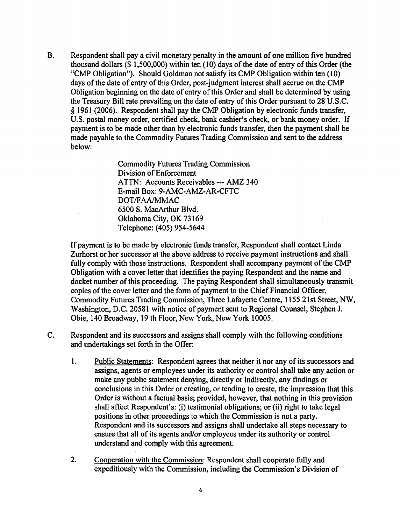B. Respondent shall pay a civil monetary penalty in the amount of one million five hundred thousand dollars  $(\$ 1,500,000)$  within ten  $(10)$  days of the date of entry of this Order (the "CMP Obligation"). Should Goldman not satisfy its CMP Obligation within ten (10) days of the date of entry of this Order, post-judgment interest shall accrue on the CMP Obligation beginning on the date of entry of this Order and shall be determined by using the Treasury Bill rate prevailing on the date of entry of this Order pursuant to 28 U.S.C. *§* 1961 (2006). Respondent shall pay the CMP Obligation by electronic funds transfer, U.S. postal money order, certified check, bank cashier's check, or bank money order. If payment is to be made other than by electronic funds transfer, then the payment shall be made payable to the Commodity Futures Trading Commission and sent to the address below:

> Commodity Futures Trading Commission Division of Enforcement ATTN: Accounts Receivables --- AMZ 340 E-mail Box: 9-AMC-AMZ-AR-CFTC DOT/FAA/MMAC 6500 S. MacArthur Blvd. Oklahoma City, OK 73169 Telephone: (405) 954-5644

If payment is to be made by electronic funds transfer, Respondent shall contact Linda Zurhorst or her successor at the above address to receive payment instructions and shall fully comply with those instructions. Respondent shall accompany payment of the CMP Obligation with a cover letter that identifies the paying Respondent and the name and docket number of this proceeding. The paying Respondent shall simultaneously transmit copies of the cover letter and the form of payment to the Chief Financial Officer, Commodity Futures Trading Commission, Three Lafayette Centre, 1155 21st Street, NW, Washington, D.C. 20581 with notice of payment sent to Regional Counsel, Stephen J. Obie, 140 Broadway, 19 th Floor, New York, New York 10005.

- C. Respondent and its successors and assigns shall comply with the following conditions and undertakings set forth in the Offer:
	- 1. Public Statements: Respondent agrees that neither it nor any of its successors and assigns, agents or employees under its authority or control shall take any action or make any public statement denying, directly or indirectly, any findings or conclusions in this Order or creating, or tending to create, the impression that this Order is without a factual basis; provided, however, that nothing in this provision shall affect Respondent's: (i) testimonial obligations; or (ii) right to take legal positions in other proceedings to which the Commission is not a party. Respondent and its successors and assigns shall undertake all steps necessary to ensure that all of its agents and/or employees under its authority or control understand and comply with this agreement.
	- 2. Cooperation with the Commission: Respondent shall cooperate fully and expeditiously with the Commission, including the Commission's Division of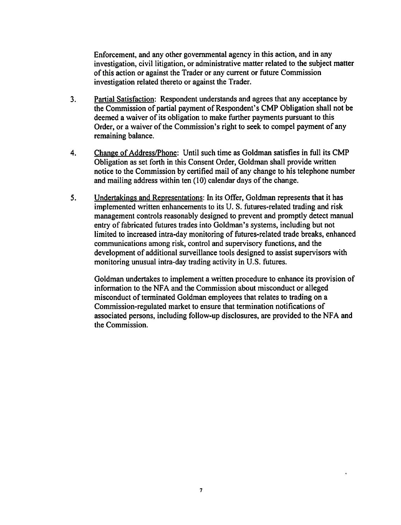Enforcement, and any other governmental agency in this action, and in any investigation, civil litigation, or administrative matter related to the subject matter of this action or against the Trader or any current or future Commission investigation related thereto or against the Trader.

- 3. Partial Satisfaction: Respondent understands and agrees that any acceptance by the Commission of partial payment of Respondent's CMP Obligation shall not be deemed a waiver of its obligation to make further payments pursuant to this Order, or a waiver of the Commission's right to seek to compel payment of any remaining balance.
- 4. Change of Address/Phone: Until such time as Goldman satisfies in full its CMP Obligation as set forth in this Consent Order, Goldman shall provide written notice to the Commission by certified mail of any change to his telephone number and mailing address within ten  $(10)$  calendar days of the change.
- 5. Undertakings and Representations: In its Offer, Goldman represents that it has implemented written enhancements to its U.S. futures-related trading and risk management controls reasonably designed to prevent and promptly detect manual entry of fabricated futures trades into Goldman's systems, including but not limited to increased intra-day monitoring of futures-related trade breaks, enhanced communications among risk, control and supervisory functions, and the development of additional surveillance tools designed to assist supervisors with monitoring unusual intra-day trading activity in U.S. futures.

Goldman undertakes to implement a written procedure to enhance its provision of information to the NFA and the Commission about misconduct or alleged misconduct of terminated Goldman employees that relates to trading on a Commission-regulated market to ensure that termination notifications of associated persons, including follow-up disclosures, are provided to the NFA and the Commission.